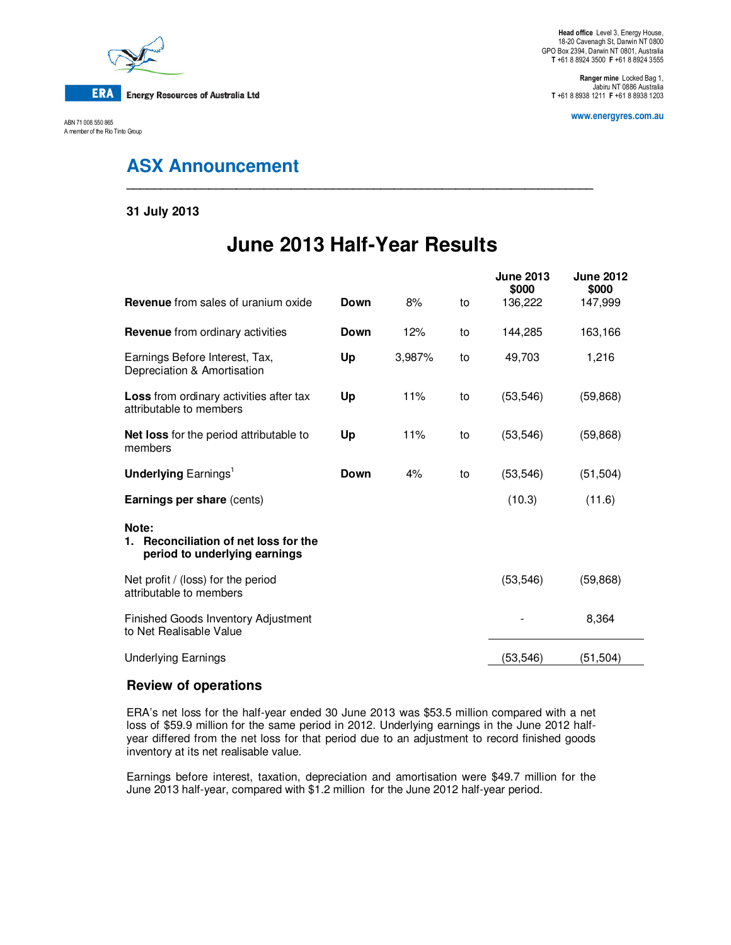

ABN 71 008 550 865 A member of the Rio Tinto Group

**Head office** Level 3, Energy House, 18-20 Cavenagh St, Darwin NT 0800 GPO Box 2394, Darwin NT 0801, Australia **T** +61 8 8924 3500 **F** +61 8 8924 3555

**Ranger mine** Locked Bag 1, Jabiru NT 0886 Australia **T** +61 8 8938 1211 **F** +61 8 8938 1203

**www.energyres.com.au** 

# **ASX Announcement**

#### **31 July 2013**

# **June 2013 Half-Year Results**

**\_\_\_\_\_\_\_\_\_\_\_\_\_\_\_\_\_\_\_\_\_\_\_\_\_\_\_\_\_\_\_\_\_\_\_\_\_\_\_\_\_\_\_\_\_\_\_\_\_\_\_\_\_\_\_\_\_\_\_\_\_\_\_\_\_\_\_\_** 

|                                                                                    |      |        |    | <b>June 2013</b><br>\$000 | <b>June 2012</b><br>\$000 |
|------------------------------------------------------------------------------------|------|--------|----|---------------------------|---------------------------|
| <b>Revenue</b> from sales of uranium oxide                                         | Down | 8%     | to | 136,222                   | 147,999                   |
| <b>Revenue</b> from ordinary activities                                            | Down | 12%    | to | 144,285                   | 163,166                   |
| Earnings Before Interest, Tax,<br>Depreciation & Amortisation                      | Up   | 3,987% | to | 49,703                    | 1,216                     |
| Loss from ordinary activities after tax<br>attributable to members                 | Up   | 11%    | to | (53, 546)                 | (59, 868)                 |
| <b>Net loss</b> for the period attributable to<br>members                          | Up   | 11%    | to | (53, 546)                 | (59, 868)                 |
| <b>Underlying Earnings</b> <sup>1</sup>                                            | Down | 4%     | to | (53, 546)                 | (51, 504)                 |
| Earnings per share (cents)                                                         |      |        |    | (10.3)                    | (11.6)                    |
| Note:<br>Reconciliation of net loss for the<br>1.<br>period to underlying earnings |      |        |    |                           |                           |
| Net profit / (loss) for the period<br>attributable to members                      |      |        |    | (53, 546)                 | (59, 868)                 |
| Finished Goods Inventory Adjustment<br>to Net Realisable Value                     |      |        |    |                           | 8,364                     |
| <b>Underlying Earnings</b>                                                         |      |        |    | (53,546)                  | (51, 504)                 |

### **Review of operations**

ERA's net loss for the half-year ended 30 June 2013 was \$53.5 million compared with a net loss of \$59.9 million for the same period in 2012. Underlying earnings in the June 2012 halfyear differed from the net loss for that period due to an adjustment to record finished goods inventory at its net realisable value.

Earnings before interest, taxation, depreciation and amortisation were \$49.7 million for the June 2013 half-year, compared with \$1.2 million for the June 2012 half-year period.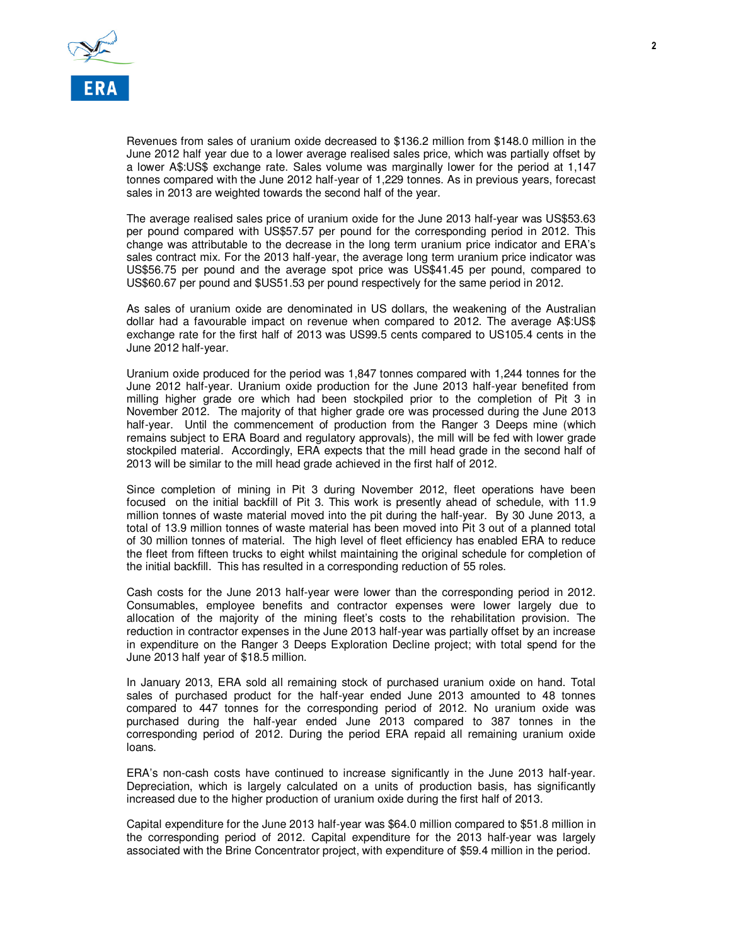

Revenues from sales of uranium oxide decreased to \$136.2 million from \$148.0 million in the June 2012 half year due to a lower average realised sales price, which was partially offset by a lower A\$:US\$ exchange rate. Sales volume was marginally lower for the period at 1,147 tonnes compared with the June 2012 half-year of 1,229 tonnes. As in previous years, forecast sales in 2013 are weighted towards the second half of the year.

The average realised sales price of uranium oxide for the June 2013 half-year was US\$53.63 per pound compared with US\$57.57 per pound for the corresponding period in 2012. This change was attributable to the decrease in the long term uranium price indicator and ERA's sales contract mix. For the 2013 half-year, the average long term uranium price indicator was US\$56.75 per pound and the average spot price was US\$41.45 per pound, compared to US\$60.67 per pound and \$US51.53 per pound respectively for the same period in 2012.

As sales of uranium oxide are denominated in US dollars, the weakening of the Australian dollar had a favourable impact on revenue when compared to 2012. The average A\$:US\$ exchange rate for the first half of 2013 was US99.5 cents compared to US105.4 cents in the June 2012 half-year.

Uranium oxide produced for the period was 1,847 tonnes compared with 1,244 tonnes for the June 2012 half-year. Uranium oxide production for the June 2013 half-year benefited from milling higher grade ore which had been stockpiled prior to the completion of Pit 3 in November 2012. The majority of that higher grade ore was processed during the June 2013 half-year. Until the commencement of production from the Ranger 3 Deeps mine (which remains subject to ERA Board and regulatory approvals), the mill will be fed with lower grade stockpiled material. Accordingly, ERA expects that the mill head grade in the second half of 2013 will be similar to the mill head grade achieved in the first half of 2012.

Since completion of mining in Pit 3 during November 2012, fleet operations have been focused on the initial backfill of Pit 3. This work is presently ahead of schedule, with 11.9 million tonnes of waste material moved into the pit during the half-year. By 30 June 2013, a total of 13.9 million tonnes of waste material has been moved into Pit 3 out of a planned total of 30 million tonnes of material. The high level of fleet efficiency has enabled ERA to reduce the fleet from fifteen trucks to eight whilst maintaining the original schedule for completion of the initial backfill. This has resulted in a corresponding reduction of 55 roles.

Cash costs for the June 2013 half-year were lower than the corresponding period in 2012. Consumables, employee benefits and contractor expenses were lower largely due to allocation of the majority of the mining fleet's costs to the rehabilitation provision. The reduction in contractor expenses in the June 2013 half-year was partially offset by an increase in expenditure on the Ranger 3 Deeps Exploration Decline project; with total spend for the June 2013 half year of \$18.5 million.

In January 2013, ERA sold all remaining stock of purchased uranium oxide on hand. Total sales of purchased product for the half-year ended June 2013 amounted to 48 tonnes compared to 447 tonnes for the corresponding period of 2012. No uranium oxide was purchased during the half-year ended June 2013 compared to 387 tonnes in the corresponding period of 2012. During the period ERA repaid all remaining uranium oxide loans.

ERA's non-cash costs have continued to increase significantly in the June 2013 half-year. Depreciation, which is largely calculated on a units of production basis, has significantly increased due to the higher production of uranium oxide during the first half of 2013.

Capital expenditure for the June 2013 half-year was \$64.0 million compared to \$51.8 million in the corresponding period of 2012. Capital expenditure for the 2013 half-year was largely associated with the Brine Concentrator project, with expenditure of \$59.4 million in the period.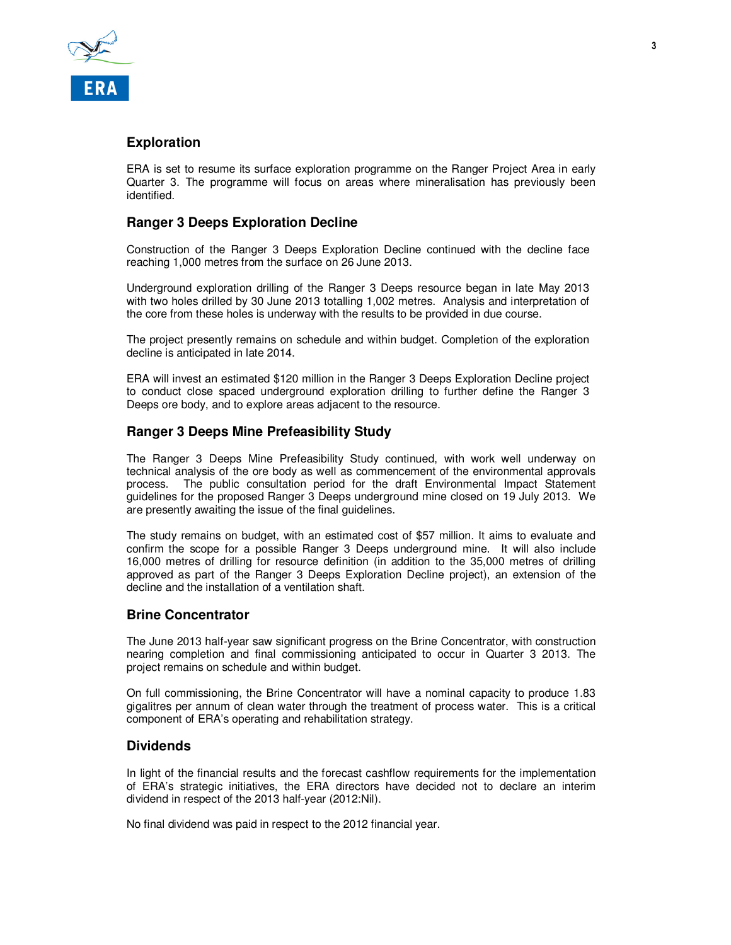

# **Exploration**

ERA is set to resume its surface exploration programme on the Ranger Project Area in early Quarter 3. The programme will focus on areas where mineralisation has previously been identified.

# **Ranger 3 Deeps Exploration Decline**

Construction of the Ranger 3 Deeps Exploration Decline continued with the decline face reaching 1,000 metres from the surface on 26 June 2013.

Underground exploration drilling of the Ranger 3 Deeps resource began in late May 2013 with two holes drilled by 30 June 2013 totalling 1,002 metres. Analysis and interpretation of the core from these holes is underway with the results to be provided in due course.

The project presently remains on schedule and within budget. Completion of the exploration decline is anticipated in late 2014.

ERA will invest an estimated \$120 million in the Ranger 3 Deeps Exploration Decline project to conduct close spaced underground exploration drilling to further define the Ranger 3 Deeps ore body, and to explore areas adjacent to the resource.

### **Ranger 3 Deeps Mine Prefeasibility Study**

The Ranger 3 Deeps Mine Prefeasibility Study continued, with work well underway on technical analysis of the ore body as well as commencement of the environmental approvals process. The public consultation period for the draft Environmental Impact Statement guidelines for the proposed Ranger 3 Deeps underground mine closed on 19 July 2013. We are presently awaiting the issue of the final guidelines.

The study remains on budget, with an estimated cost of \$57 million. It aims to evaluate and confirm the scope for a possible Ranger 3 Deeps underground mine. It will also include 16,000 metres of drilling for resource definition (in addition to the 35,000 metres of drilling approved as part of the Ranger 3 Deeps Exploration Decline project), an extension of the decline and the installation of a ventilation shaft.

#### **Brine Concentrator**

The June 2013 half-year saw significant progress on the Brine Concentrator, with construction nearing completion and final commissioning anticipated to occur in Quarter 3 2013. The project remains on schedule and within budget.

On full commissioning, the Brine Concentrator will have a nominal capacity to produce 1.83 gigalitres per annum of clean water through the treatment of process water. This is a critical component of ERA's operating and rehabilitation strategy.

# **Dividends**

In light of the financial results and the forecast cashflow requirements for the implementation of ERA's strategic initiatives, the ERA directors have decided not to declare an interim dividend in respect of the 2013 half-year (2012:Nil).

No final dividend was paid in respect to the 2012 financial year.